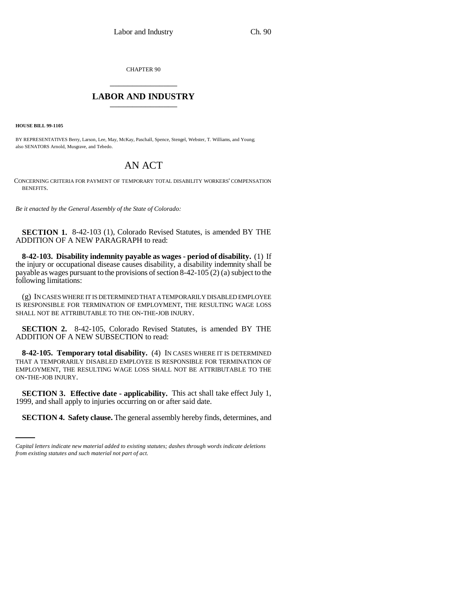CHAPTER 90 \_\_\_\_\_\_\_\_\_\_\_\_\_\_\_

## **LABOR AND INDUSTRY** \_\_\_\_\_\_\_\_\_\_\_\_\_\_\_

**HOUSE BILL 99-1105** 

BY REPRESENTATIVES Berry, Larson, Lee, May, McKay, Paschall, Spence, Stengel, Webster, T. Williams, and Young; also SENATORS Arnold, Musgrave, and Tebedo.

## AN ACT

CONCERNING CRITERIA FOR PAYMENT OF TEMPORARY TOTAL DISABILITY WORKERS' COMPENSATION BENEFITS.

*Be it enacted by the General Assembly of the State of Colorado:*

**SECTION 1.** 8-42-103 (1), Colorado Revised Statutes, is amended BY THE ADDITION OF A NEW PARAGRAPH to read:

**8-42-103. Disability indemnity payable as wages - period of disability.** (1) If the injury or occupational disease causes disability, a disability indemnity shall be payable as wages pursuant to the provisions of section 8-42-105 (2) (a) subject to the following limitations:

(g) IN CASES WHERE IT IS DETERMINED THAT A TEMPORARILY DISABLED EMPLOYEE IS RESPONSIBLE FOR TERMINATION OF EMPLOYMENT, THE RESULTING WAGE LOSS SHALL NOT BE ATTRIBUTABLE TO THE ON-THE-JOB INJURY.

**SECTION 2.** 8-42-105, Colorado Revised Statutes, is amended BY THE ADDITION OF A NEW SUBSECTION to read:

**8-42-105. Temporary total disability.** (4) IN CASES WHERE IT IS DETERMINED THAT A TEMPORARILY DISABLED EMPLOYEE IS RESPONSIBLE FOR TERMINATION OF EMPLOYMENT, THE RESULTING WAGE LOSS SHALL NOT BE ATTRIBUTABLE TO THE ON-THE-JOB INJURY.

1999, and shall apply to injuries occurring on or after said date. **SECTION 3. Effective date - applicability.** This act shall take effect July 1,

**SECTION 4. Safety clause.** The general assembly hereby finds, determines, and

*Capital letters indicate new material added to existing statutes; dashes through words indicate deletions from existing statutes and such material not part of act.*